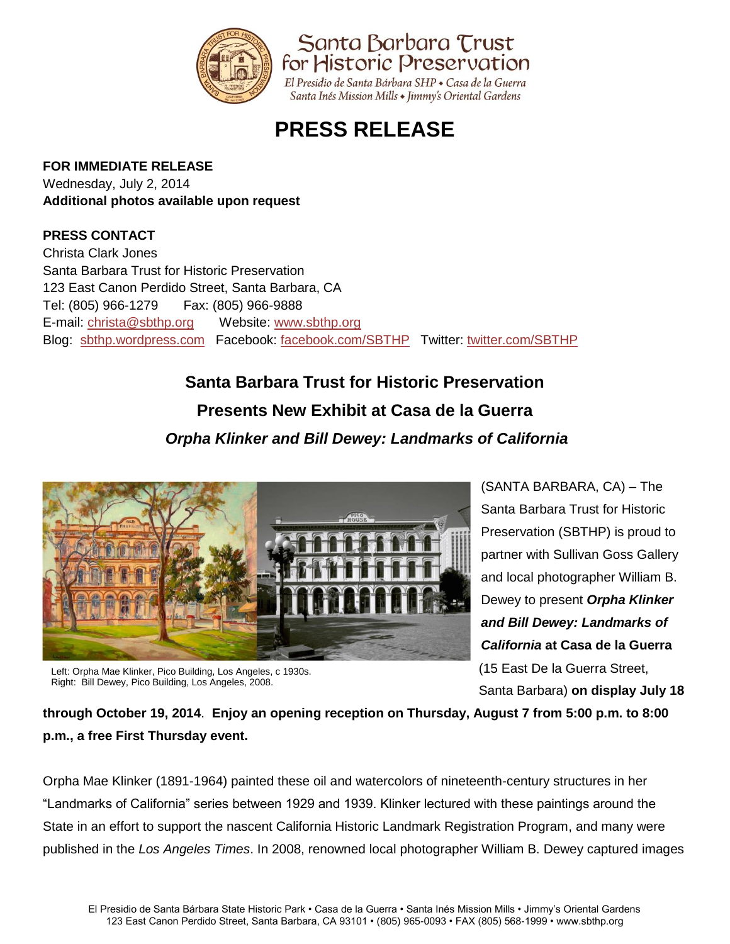

## **PRESS RELEASE**

### **FOR IMMEDIATE RELEASE**

Wednesday, July 2, 2014 **Additional photos available upon request**

### **PRESS CONTACT**

Christa Clark Jones Santa Barbara Trust for Historic Preservation 123 East Canon Perdido Street, Santa Barbara, CA Tel: (805) 966-1279 Fax: (805) 966-9888 E-mail: [christa@sbthp.org](mailto:christa@sbthp.org) Website: [www.sbthp.org](http://www.sbthp.org/) Blog: [sbthp.wordpress.com](http://sbthp.wordpress.com/) Facebook: [facebook.com/SBTHP](http://www.facebook.com/SBTHP) Twitter: [twitter.com/SBTHP](http://twitter.com/SBTHP)

# **Santa Barbara Trust for Historic Preservation Presents New Exhibit at Casa de la Guerra**

### *Orpha Klinker and Bill Dewey: Landmarks of California*



Left: Orpha Mae Klinker, Pico Building, Los Angeles, c 1930s. Right: Bill Dewey, Pico Building, Los Angeles, 2008.

(SANTA BARBARA, CA) – The Santa Barbara Trust for Historic Preservation (SBTHP) is proud to partner with Sullivan Goss Gallery and local photographer William B. Dewey to present *Orpha Klinker and Bill Dewey: Landmarks of California* **at Casa de la Guerra** (15 East De la Guerra Street, Santa Barbara) **on display July 18**

**through October 19, 2014**. **Enjoy an opening reception on Thursday, August 7 from 5:00 p.m. to 8:00 p.m., a free First Thursday event.**

Orpha Mae Klinker (1891-1964) painted these oil and watercolors of nineteenth-century structures in her "Landmarks of California" series between 1929 and 1939. Klinker lectured with these paintings around the State in an effort to support the nascent California Historic Landmark Registration Program, and many were published in the *Los Angeles Times*. In 2008, renowned local photographer William B. Dewey captured images